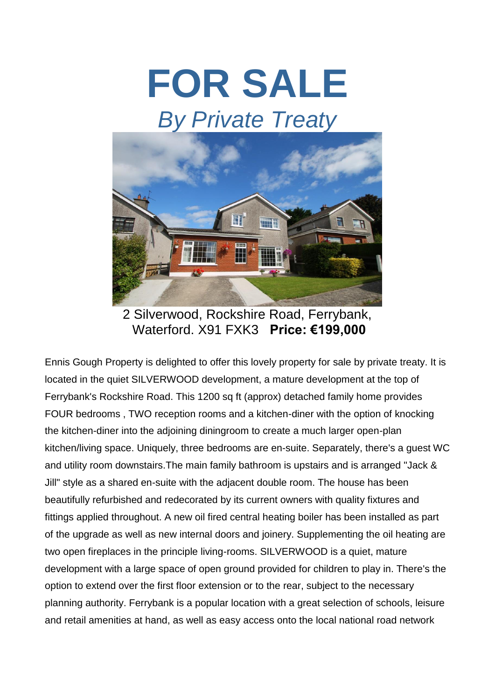



2 Silverwood, Rockshire Road, Ferrybank, Waterford. X91 FXK3 **Price: €199,000**

Ennis Gough Property is delighted to offer this lovely property for sale by private treaty. It is located in the quiet SILVERWOOD development, a mature development at the top of Ferrybank's Rockshire Road. This 1200 sq ft (approx) detached family home provides FOUR bedrooms , TWO reception rooms and a kitchen-diner with the option of knocking the kitchen-diner into the adjoining diningroom to create a much larger open-plan kitchen/living space. Uniquely, three bedrooms are en-suite. Separately, there's a guest WC and utility room downstairs.The main family bathroom is upstairs and is arranged "Jack & Jill" style as a shared en-suite with the adjacent double room. The house has been beautifully refurbished and redecorated by its current owners with quality fixtures and fittings applied throughout. A new oil fired central heating boiler has been installed as part of the upgrade as well as new internal doors and joinery. Supplementing the oil heating are two open fireplaces in the principle living-rooms. SILVERWOOD is a quiet, mature development with a large space of open ground provided for children to play in. There's the option to extend over the first floor extension or to the rear, subject to the necessary planning authority. Ferrybank is a popular location with a great selection of schools, leisure and retail amenities at hand, as well as easy access onto the local national road network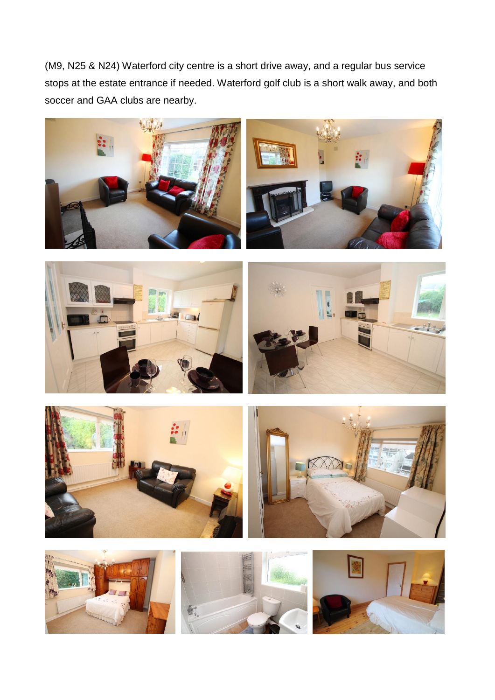(M9, N25 & N24) Waterford city centre is a short drive away, and a regular bus service stops at the estate entrance if needed. Waterford golf club is a short walk away, and both soccer and GAA clubs are nearby.